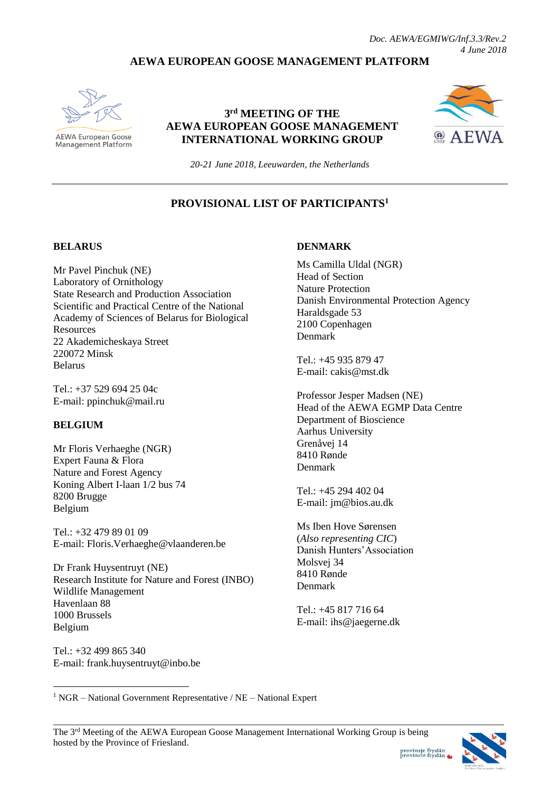## **AEWA EUROPEAN GOOSE MANAGEMENT PLATFORM**



**AEWA European Goose** Management Platform

### **3 rd MEETING OF THE AEWA EUROPEAN GOOSE MANAGEMENT INTERNATIONAL WORKING GROUP**



*20-21 June 2018, Leeuwarden, the Netherlands*

### **PROVISIONAL LIST OF PARTICIPANTS<sup>1</sup>**

#### **BELARUS**

Mr Pavel Pinchuk (NE) Laboratory of Ornithology State Research and Production Association Scientific and Practical Centre of the National Academy of Sciences of Belarus for Biological **Resources** 22 Akademicheskaya Street 220072 Minsk Belarus

Tel.: +37 529 694 25 04c E-mail: [ppinchuk@mail.ru](mailto:ppinchuk@mail.ru)

#### **BELGIUM**

<u>.</u>

Mr Floris Verhaeghe (NGR) Expert Fauna & Flora Nature and Forest Agency Koning Albert I-laan 1/2 bus 74 8200 Brugge Belgium

Tel.: +32 479 89 01 09 E-mail: Floris.Verhaeghe@vlaanderen.be

Dr Frank Huysentruyt (NE) Research Institute for Nature and Forest (INBO) Wildlife Management Havenlaan 88 1000 Brussels Belgium

Tel.: +32 499 865 340 E-mail: frank.huysentruyt@inbo.be

#### **DENMARK**

Ms Camilla Uldal (NGR) Head of Section Nature Protection Danish Environmental Protection Agency Haraldsgade 53 2100 Copenhagen Denmark

 $Tel + 4593587947$ E-mail: cakis@mst.dk

Professor Jesper Madsen (NE) Head of the AEWA EGMP Data Centre Department of Bioscience Aarhus University Grenåvej 14 8410 Rønde Denmark

Tel.: +45 294 402 04 E-mail: [jm@bios.au.dk](mailto:jm@bios.au.dk)

Ms Iben Hove Sørensen (*Also representing CIC*) Danish Hunters'Association Molsvej 34 8410 Rønde Denmark

Tel.: +45 817 716 64 E-mail: [ihs@jaegerne.dk](mailto:ihs@jaegerne.dk)

 $1 NGR - National Government Representative / NE - National Expert$ 

\_\_\_\_\_\_\_\_\_\_\_\_\_\_\_\_\_\_\_\_\_\_\_\_\_\_\_\_\_\_\_\_\_\_\_\_\_\_\_\_\_\_\_\_\_\_\_\_\_\_\_\_\_\_\_\_\_\_\_\_\_\_\_\_\_\_\_\_\_\_\_\_\_\_\_\_\_\_\_\_\_\_\_\_\_\_\_\_\_\_\_\_\_\_\_\_

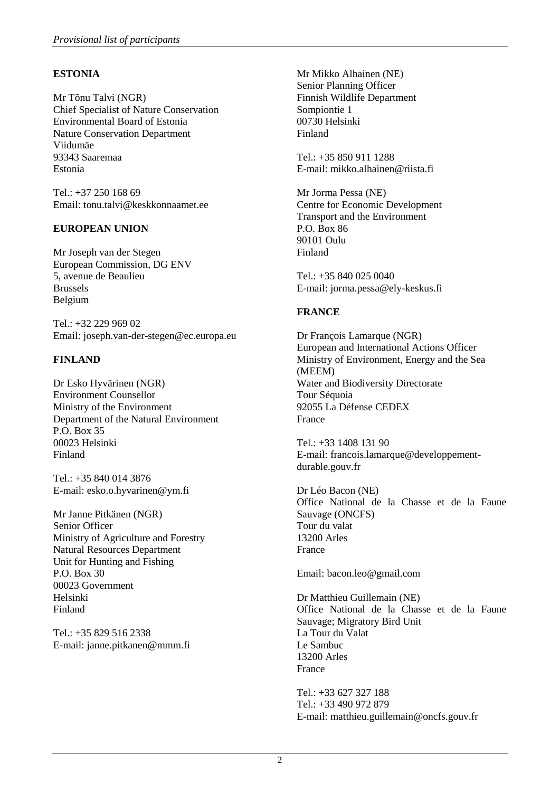### **ESTONIA**

Mr Tõnu Talvi (NGR) Chief Specialist of Nature Conservation Environmental Board of Estonia Nature Conservation Department Viidumäe 93343 Saaremaa Estonia

 $Tel \cdot +37 250 168 69$ Email: tonu.talvi@keskkonnaamet.ee

### **EUROPEAN UNION**

Mr Joseph van der Stegen European Commission, DG ENV 5, avenue de Beaulieu Brussels Belgium

Tel.: +32 229 969 02 Email: joseph.van-der-stegen@ec.europa.eu

### **FINLAND**

Dr Esko Hyvärinen (NGR) Environment Counsellor Ministry of the Environment Department of the Natural Environment P.O. Box 35 00023 Helsinki Finland

Tel.: +35 840 014 3876 E-mail: [esko.o.hyvarinen@ym.fi](mailto:esko.o.hyvarinen@ym.fi)

Mr Janne Pitkänen (NGR) Senior Officer Ministry of Agriculture and Forestry Natural Resources Department Unit for Hunting and Fishing P.O. Box 30 00023 Government Helsinki Finland

Tel.: +35 829 516 2338 E-mail: [janne.pitkanen@mmm.fi](mailto:janne.pitkanen@mmm.fi)

Mr Mikko Alhainen (NE) Senior Planning Officer Finnish Wildlife Department Sompiontie 1 00730 Helsinki Finland

Tel.: +35 850 911 1288 E-mail: [mikko.alhainen@riista.fi](mailto:mikko.alhainen@riista.fi)

Mr Jorma Pessa (NE) Centre for Economic Development Transport and the Environment P.O. Box 86 90101 Oulu Finland

Tel.: +35 840 025 0040 E-mail: jorma.pessa@ely-keskus.fi

### **FRANCE**

Dr François Lamarque (NGR) European and International Actions Officer Ministry of Environment, Energy and the Sea (MEEM) Water and Biodiversity Directorate Tour Séquoia 92055 La Défense CEDEX France

Tel.: +33 1408 131 90 E-mail: [francois.lamarque@developpement](mailto:francois.lamarque@developpement-durable.gouv.fr)[durable.gouv.fr](mailto:francois.lamarque@developpement-durable.gouv.fr)

Dr Léo Bacon (NE) Office National de la Chasse et de la Faune Sauvage (ONCFS) Tour du valat 13200 Arles France

Email: bacon.leo@gmail.com

Dr Matthieu Guillemain (NE) Office National de la Chasse et de la Faune Sauvage; Migratory Bird Unit La Tour du Valat Le Sambuc 13200 Arles France

Tel.: +33 627 327 188 Tel.: +33 490 972 879 E-mail: [matthieu.guillemain@oncfs.gouv.fr](mailto:matthieu.guillemain@oncfs.gouv.fr)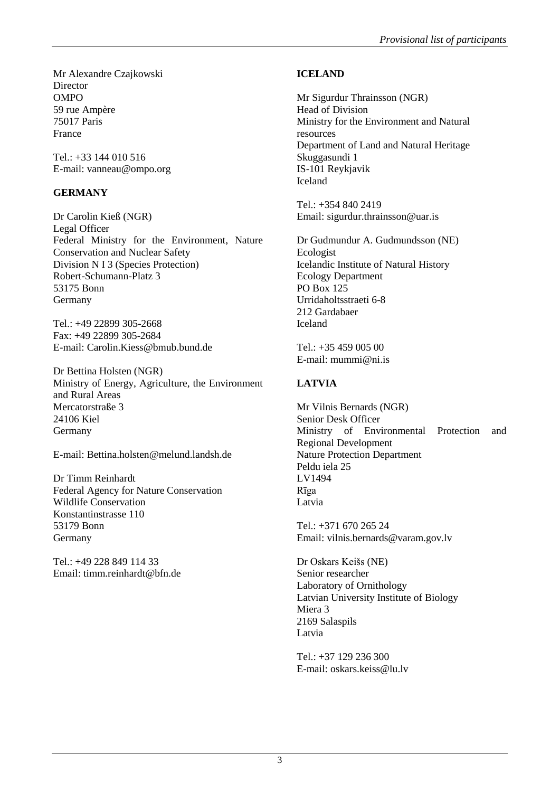Mr Alexandre Czajkowski **Director** OMPO 59 rue Ampère 75017 Paris France

Tel.: +33 144 010 516 E-mail: vanneau@ompo.org

## **GERMANY**

Dr Carolin Kieß (NGR) Legal Officer Federal Ministry for the Environment, Nature Conservation and Nuclear Safety Division N I 3 (Species Protection) Robert-Schumann-Platz 3 53175 Bonn Germany

Tel.: +49 22899 305-2668 Fax: +49 22899 305-2684 E-mail: [Carolin.Kiess@bmub.bund.de](mailto:Carolin.Kiess@bmub.bund.de)

Dr Bettina Holsten (NGR) Ministry of Energy, Agriculture, the Environment and Rural Areas Mercatorstraße 3 24106 Kiel Germany

E-mail: Bettina.holsten@melund.landsh.de

Dr Timm Reinhardt Federal Agency for Nature Conservation Wildlife Conservation Konstantinstrasse 110 53179 Bonn Germany

Tel.: +49 228 849 114 33 Email: timm.reinhardt@bfn.de

# **ICELAND**

Mr Sigurdur Thrainsson (NGR) Head of Division Ministry for the Environment and Natural resources Department of Land and Natural Heritage Skuggasundi 1 IS-101 Reykjavik Iceland

Tel.: +354 840 2419 Email: sigurdur.thrainsson@uar.is

Dr Gudmundur A. Gudmundsson (NE) Ecologist Icelandic Institute of Natural History Ecology Department PO Box 125 Urridaholtsstraeti 6-8 212 Gardabaer Iceland

Tel.: +35 459 005 00 E-mail: [mummi@ni.is](mailto:mummi@ni.is)

# **LATVIA**

Mr Vilnis Bernards (NGR) Senior Desk Officer Ministry of Environmental Protection and Regional Development Nature Protection Department Peldu iela 25 LV1494 Rīga Latvia

Tel.: +371 670 265 24 Email: vilnis.bernards@varam.gov.lv

Dr Oskars Keišs (NE) Senior researcher Laboratory of Ornithology Latvian University Institute of Biology Miera 3 2169 Salaspils Latvia

Tel.: +37 129 236 300 E-mail: [oskars.keiss@lu.lv](mailto:oskars.keiss@lu.lv)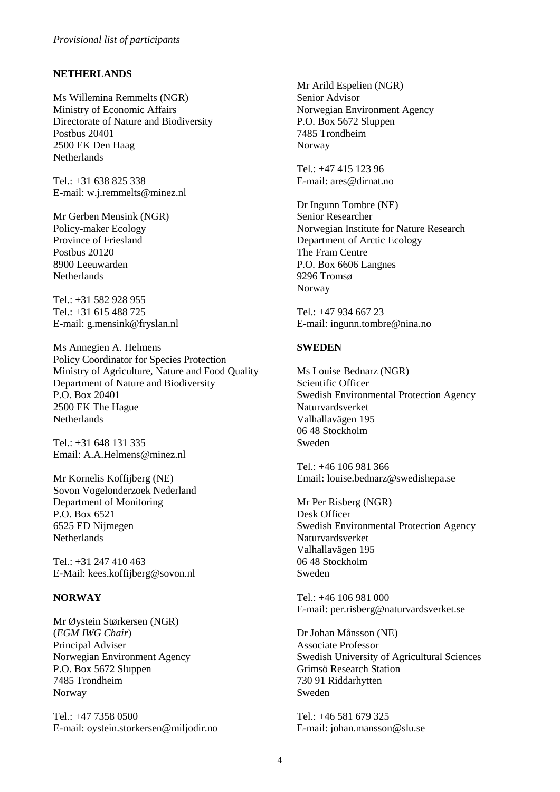### **NETHERLANDS**

Ms Willemina Remmelts (NGR) Ministry of Economic Affairs Directorate of Nature and Biodiversity Postbus 20401 2500 EK Den Haag **Netherlands** 

Tel.: +31 638 825 338 E-mail: [w.j.remmelts@minez.nl](mailto:w.j.remmelts@minez.nl)

Mr Gerben Mensink (NGR) Policy-maker Ecology Province of Friesland Postbus 20120 8900 Leeuwarden Netherlands

 $Tel + 31 582 928 955$ Tel.: +31 615 488 725 E-mail: [g.mensink@fryslan.nl](mailto:g.mensink@fryslan.nl)

Ms Annegien A. Helmens Policy Coordinator for Species Protection Ministry of Agriculture, Nature and Food Quality Department of Nature and Biodiversity P.O. Box 20401 2500 EK The Hague **Netherlands** 

Tel.: +31 648 131 335 Email: A.A.Helmens@minez.nl

Mr Kornelis Koffijberg (NE) Sovon Vogelonderzoek Nederland Department of Monitoring P.O. Box 6521 6525 ED Nijmegen Netherlands

Tel.: +31 247 410 463 E-Mail: [kees.koffijberg@sovon.nl](mailto:kees.koffijberg@sovon.nl)

#### **NORWAY**

Mr Øystein Størkersen (NGR) (*EGM IWG Chair*) Principal Adviser Norwegian Environment Agency P.O. Box 5672 Sluppen 7485 Trondheim Norway

Tel.: +47 7358 0500 E-mail: [oystein.storkersen@miljodir.no](mailto:oystein.storkersen@miljodir.no)

Mr Arild Espelien (NGR) Senior Advisor Norwegian Environment Agency P.O. Box 5672 Sluppen 7485 Trondheim Norway

Tel.: +47 415 123 96 E-mail: [ares@dirnat.no](mailto:ares@dirnat.no)

Dr Ingunn Tombre (NE) Senior Researcher Norwegian Institute for Nature Research Department of Arctic Ecology The Fram Centre P.O. Box 6606 Langnes 9296 Tromsø **Norway** 

Tel.: +47 934 667 23 E-mail: [ingunn.tombre@nina.no](mailto:ingunn.tombre@nina.no)

#### **SWEDEN**

Ms Louise Bednarz (NGR) Scientific Officer Swedish Environmental Protection Agency Naturvardsverket Valhallavägen 195 06 48 Stockholm Sweden

Tel.: +46 106 981 366 Email: louise.bednarz@swedishepa.se

Mr Per Risberg (NGR) Desk Officer Swedish Environmental Protection Agency Naturvardsverket Valhallavägen 195 06 48 Stockholm Sweden

Tel.: +46 106 981 000 E-mail: [per.risberg@naturvardsverket.se](mailto:per.risberg@naturvardsverket.se)

Dr Johan Månsson (NE) Associate Professor Swedish University of Agricultural Sciences Grimsö Research Station 730 91 Riddarhytten Sweden

Tel.: +46 581 679 325 E-mail: [johan.mansson@slu.se](mailto:johan.mansson@slu.se)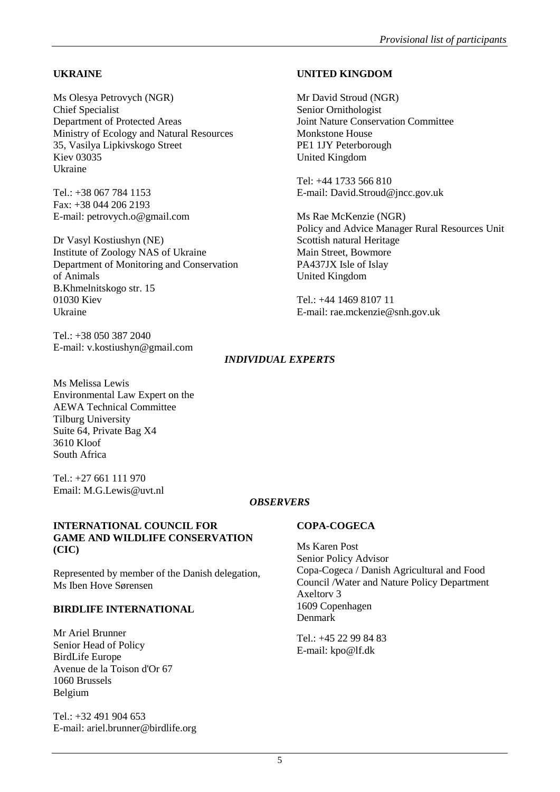### **UKRAINE**

Ms Olesya Petrovych (NGR) Chief Specialist Department of Protected Areas Ministry of Ecology and Natural Resources 35, Vasilya Lipkivskogo Street Kiev 03035 Ukraine

 $Tel + 38 067 784 1153$ Fax: +38 044 206 2193 E-mail: [petrovych.o@gmail.com](mailto:petrovych.o@gmail.com)

Dr Vasyl Kostiushyn (NE) Institute of Zoology NAS of Ukraine Department of Monitoring and Conservation of Animals B.Khmelnitskogo str. 15 01030 Kiev Ukraine

Tel.: +38 050 387 2040 E-mail: [v.kostiushyn@gmail.com](mailto:v.kostiushyn@gmail.com)

### **UNITED KINGDOM**

Mr David Stroud (NGR) Senior Ornithologist Joint Nature Conservation Committee Monkstone House PE1 1JY Peterborough United Kingdom

Tel: +44 1733 566 810 E-mail: David.Stroud@jncc.gov.uk

Ms Rae McKenzie (NGR) Policy and Advice Manager Rural Resources Unit Scottish natural Heritage Main Street, Bowmore PA437JX Isle of Islay United Kingdom

 $Tel \cdot +44$  1469 8107 11 E-mail: rae.mckenzie@snh.gov.uk

### *INDIVIDUAL EXPERTS*

Ms Melissa Lewis Environmental Law Expert on the AEWA Technical Committee Tilburg University Suite 64, Private Bag X4 3610 Kloof South Africa

Tel.: +27 661 111 970 Email: M.G.Lewis@uvt.nl

### *OBSERVERS*

#### **INTERNATIONAL COUNCIL FOR GAME AND WILDLIFE CONSERVATION (CIC)**

Represented by member of the Danish delegation, Ms Iben Hove Sørensen

#### **BIRDLIFE INTERNATIONAL**

Mr Ariel Brunner Senior Head of Policy BirdLife Europe Avenue de la Toison d'Or 67 1060 Brussels Belgium

Tel.: +32 491 904 653 E-mail: ariel.brunner@birdlife.org

#### **COPA-COGECA**

Ms Karen Post Senior Policy Advisor Copa-Cogeca / Danish Agricultural and Food Council /Water and Nature Policy Department Axeltorv 3 1609 Copenhagen Denmark

Tel.: +45 22 99 84 83 E-mail: [kpo@lf.dk](mailto:kpo@lf.dk)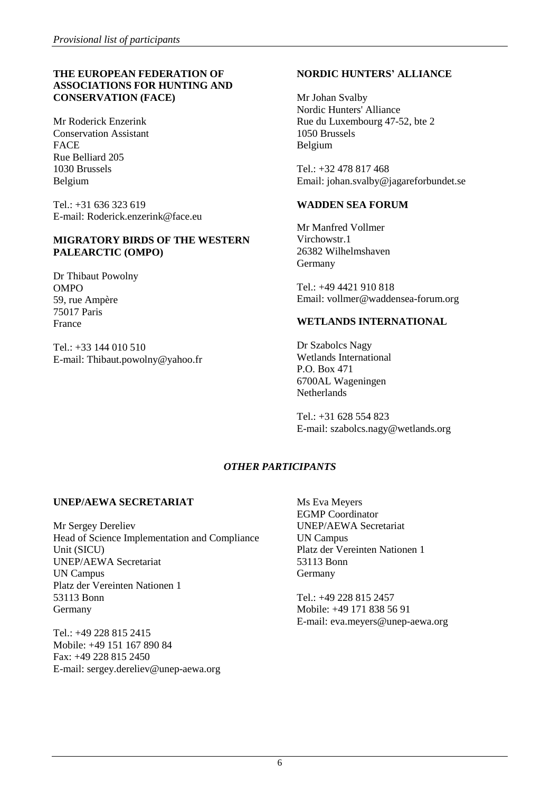#### **THE EUROPEAN FEDERATION OF ASSOCIATIONS FOR HUNTING AND CONSERVATION (FACE)**

Mr Roderick Enzerink Conservation Assistant FACE Rue Belliard 205 1030 Brussels Belgium

Tel.: +31 636 323 619 E-mail: Roderick.enzerink@face.eu

#### **MIGRATORY BIRDS OF THE WESTERN PALEARCTIC (OMPO)**

Dr Thibaut Powolny OMPO 59, rue Ampère 75017 Paris France

Tel.: +33 144 010 510 E-mail: Thibaut.powolny@yahoo.fr

### **NORDIC HUNTERS' ALLIANCE**

Mr Johan Svalby Nordic Hunters' Alliance Rue du Luxembourg 47-52, bte 2 1050 Brussels Belgium

Tel.: +32 478 817 468 Email: johan.svalby@jagareforbundet.se

#### **WADDEN SEA FORUM**

Mr Manfred Vollmer Virchowstr.1 26382 Wilhelmshaven Germany

Tel.: +49 4421 910 818 Email: vollmer@waddensea-forum.org

#### **WETLANDS INTERNATIONAL**

Dr Szabolcs Nagy Wetlands International P.O. Box 471 6700AL Wageningen Netherlands

Tel.: +31 628 554 823 E-mail: [szabolcs.nagy@wetlands.org](mailto:szabolcs.nagy@wetlands.org)

# *OTHER PARTICIPANTS*

### **UNEP/AEWA SECRETARIAT**

Mr Sergey Dereliev Head of Science Implementation and Compliance Unit (SICU) UNEP/AEWA Secretariat UN Campus Platz der Vereinten Nationen 1 53113 Bonn Germany

Tel.: +49 228 815 2415 Mobile: +49 151 167 890 84 Fax: +49 228 815 2450 E-mail: sergey.dereliev@unep-aewa.org Ms Eva Meyers EGMP Coordinator UNEP/AEWA Secretariat UN Campus Platz der Vereinten Nationen 1 53113 Bonn Germany

Tel.: +49 228 815 2457 Mobile: +49 171 838 56 91 E-mail: eva.meyers@unep-aewa.org